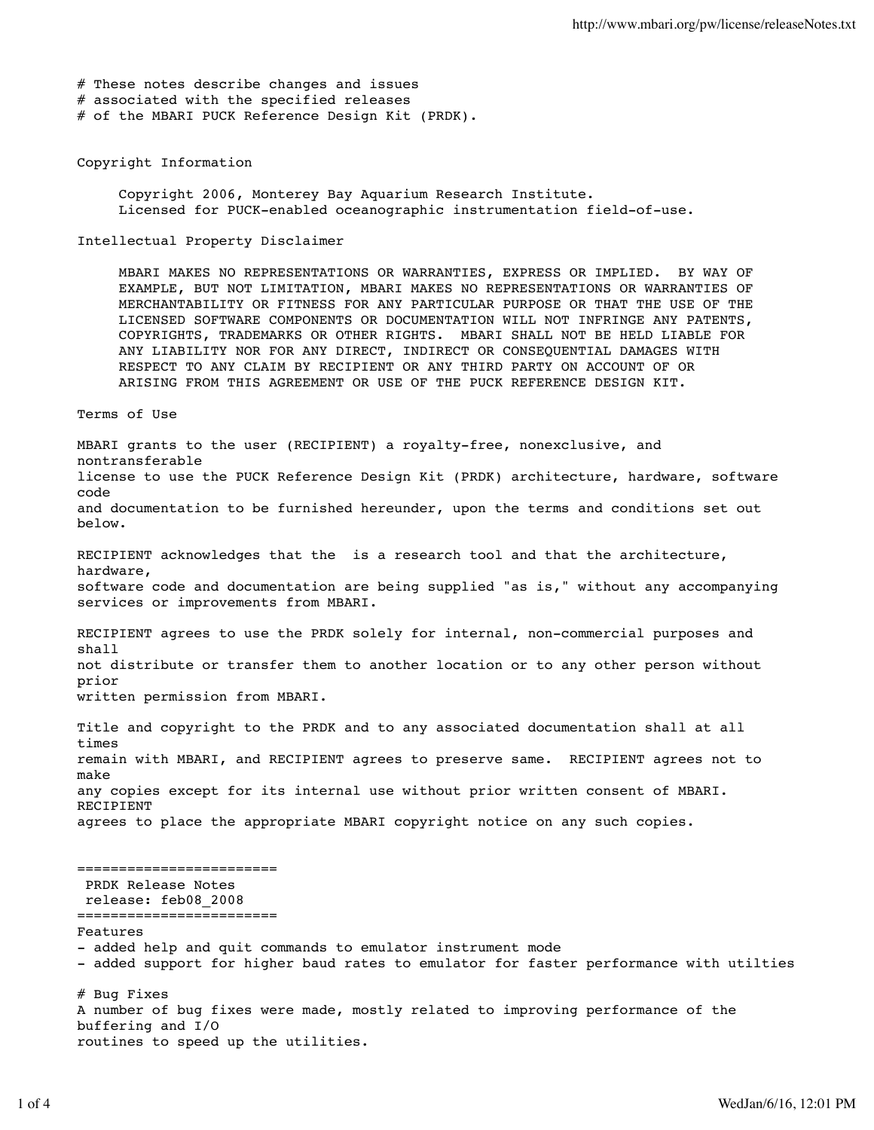# These notes describe changes and issues # associated with the specified releases

# of the MBARI PUCK Reference Design Kit (PRDK).

# Copyright Information

 Copyright 2006, Monterey Bay Aquarium Research Institute. Licensed for PUCK-enabled oceanographic instrumentation field-of-use.

#### Intellectual Property Disclaimer

 MBARI MAKES NO REPRESENTATIONS OR WARRANTIES, EXPRESS OR IMPLIED. BY WAY OF EXAMPLE, BUT NOT LIMITATION, MBARI MAKES NO REPRESENTATIONS OR WARRANTIES OF MERCHANTABILITY OR FITNESS FOR ANY PARTICULAR PURPOSE OR THAT THE USE OF THE LICENSED SOFTWARE COMPONENTS OR DOCUMENTATION WILL NOT INFRINGE ANY PATENTS, COPYRIGHTS, TRADEMARKS OR OTHER RIGHTS. MBARI SHALL NOT BE HELD LIABLE FOR ANY LIABILITY NOR FOR ANY DIRECT, INDIRECT OR CONSEQUENTIAL DAMAGES WITH RESPECT TO ANY CLAIM BY RECIPIENT OR ANY THIRD PARTY ON ACCOUNT OF OR ARISING FROM THIS AGREEMENT OR USE OF THE PUCK REFERENCE DESIGN KIT.

#### Terms of Use

MBARI grants to the user (RECIPIENT) a royalty-free, nonexclusive, and nontransferable license to use the PUCK Reference Design Kit (PRDK) architecture, hardware, software code and documentation to be furnished hereunder, upon the terms and conditions set out below. RECIPIENT acknowledges that the is a research tool and that the architecture, hardware, software code and documentation are being supplied "as is," without any accompanying services or improvements from MBARI. RECIPIENT agrees to use the PRDK solely for internal, non-commercial purposes and shall not distribute or transfer them to another location or to any other person without prior written permission from MBARI.

Title and copyright to the PRDK and to any associated documentation shall at all times remain with MBARI, and RECIPIENT agrees to preserve same. RECIPIENT agrees not to make any copies except for its internal use without prior written consent of MBARI. RECIPIENT agrees to place the appropriate MBARI copyright notice on any such copies.

## ======================== PRDK Release Notes

 release: feb08\_2008 ========================

Features

- added help and quit commands to emulator instrument mode
- added support for higher baud rates to emulator for faster performance with utilties

# Bug Fixes A number of bug fixes were made, mostly related to improving performance of the buffering and I/O routines to speed up the utilities.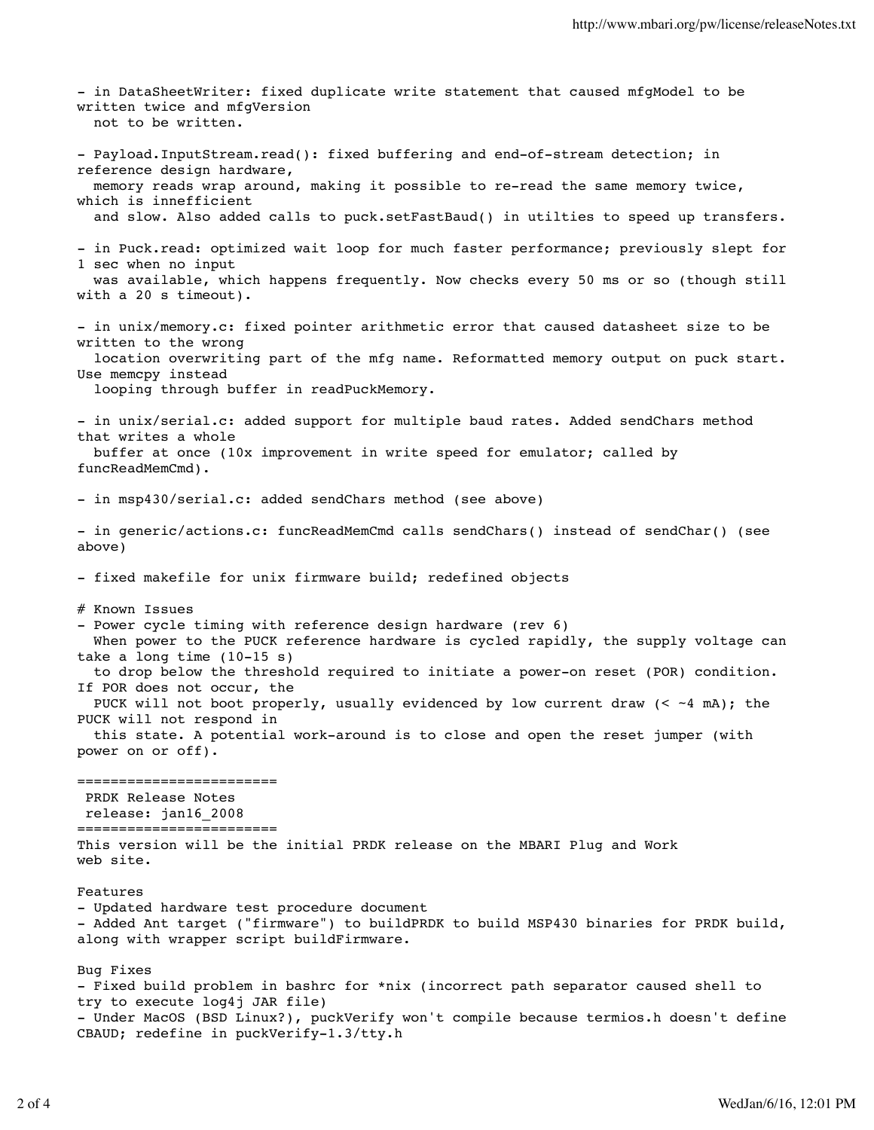- in DataSheetWriter: fixed duplicate write statement that caused mfgModel to be written twice and mfgVersion not to be written. - Payload.InputStream.read(): fixed buffering and end-of-stream detection; in reference design hardware, memory reads wrap around, making it possible to re-read the same memory twice, which is innefficient and slow. Also added calls to puck.setFastBaud() in utilties to speed up transfers. - in Puck.read: optimized wait loop for much faster performance; previously slept for 1 sec when no input was available, which happens frequently. Now checks every 50 ms or so (though still with a 20 s timeout). - in unix/memory.c: fixed pointer arithmetic error that caused datasheet size to be written to the wrong location overwriting part of the mfg name. Reformatted memory output on puck start. Use memcpy instead looping through buffer in readPuckMemory. - in unix/serial.c: added support for multiple baud rates. Added sendChars method that writes a whole buffer at once (10x improvement in write speed for emulator; called by funcReadMemCmd). - in msp430/serial.c: added sendChars method (see above) - in generic/actions.c: funcReadMemCmd calls sendChars() instead of sendChar() (see above) - fixed makefile for unix firmware build; redefined objects # Known Issues - Power cycle timing with reference design hardware (rev 6) When power to the PUCK reference hardware is cycled rapidly, the supply voltage can take a long time (10-15 s) to drop below the threshold required to initiate a power-on reset (POR) condition. If POR does not occur, the PUCK will not boot properly, usually evidenced by low current draw  $( $-4$  mA); the$ PUCK will not respond in this state. A potential work-around is to close and open the reset jumper (with power on or off). ======================== PRDK Release Notes release: jan16\_2008 ======================== This version will be the initial PRDK release on the MBARI Plug and Work web site. Features - Updated hardware test procedure document - Added Ant target ("firmware") to buildPRDK to build MSP430 binaries for PRDK build, along with wrapper script buildFirmware. Bug Fixes - Fixed build problem in bashrc for \*nix (incorrect path separator caused shell to try to execute log4j JAR file) - Under MacOS (BSD Linux?), puckVerify won't compile because termios.h doesn't define CBAUD; redefine in puckVerify-1.3/tty.h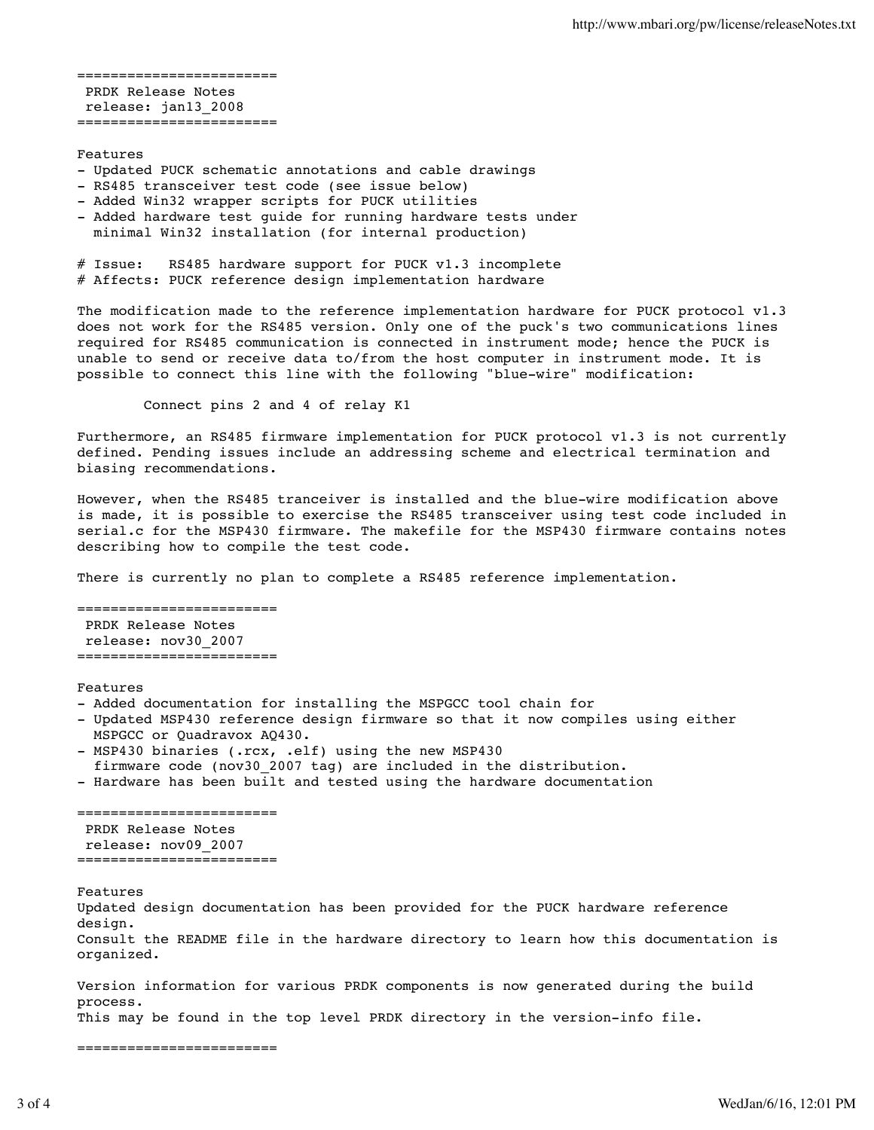======================== PRDK Release Notes release: jan13\_2008 ========================

### Features

- Updated PUCK schematic annotations and cable drawings
- RS485 transceiver test code (see issue below)
- Added Win32 wrapper scripts for PUCK utilities
- Added hardware test guide for running hardware tests under minimal Win32 installation (for internal production)

# Issue: RS485 hardware support for PUCK v1.3 incomplete # Affects: PUCK reference design implementation hardware

The modification made to the reference implementation hardware for PUCK protocol v1.3 does not work for the RS485 version. Only one of the puck's two communications lines required for RS485 communication is connected in instrument mode; hence the PUCK is unable to send or receive data to/from the host computer in instrument mode. It is possible to connect this line with the following "blue-wire" modification:

Connect pins 2 and 4 of relay K1

Furthermore, an RS485 firmware implementation for PUCK protocol v1.3 is not currently defined. Pending issues include an addressing scheme and electrical termination and biasing recommendations.

However, when the RS485 tranceiver is installed and the blue-wire modification above is made, it is possible to exercise the RS485 transceiver using test code included in serial.c for the MSP430 firmware. The makefile for the MSP430 firmware contains notes describing how to compile the test code.

There is currently no plan to complete a RS485 reference implementation.

======================== PRDK Release Notes release: nov30\_2007 ========================

Features

- Added documentation for installing the MSPGCC tool chain for
- Updated MSP430 reference design firmware so that it now compiles using either MSPGCC or Quadravox AQ430.
- MSP430 binaries (.rcx, .elf) using the new MSP430
- firmware code (nov30\_2007 tag) are included in the distribution.
- Hardware has been built and tested using the hardware documentation

========================= PRDK Release Notes release: nov09\_2007 ========================

Features

Updated design documentation has been provided for the PUCK hardware reference design. Consult the README file in the hardware directory to learn how this documentation is organized.

Version information for various PRDK components is now generated during the build process.

This may be found in the top level PRDK directory in the version-info file.

========================